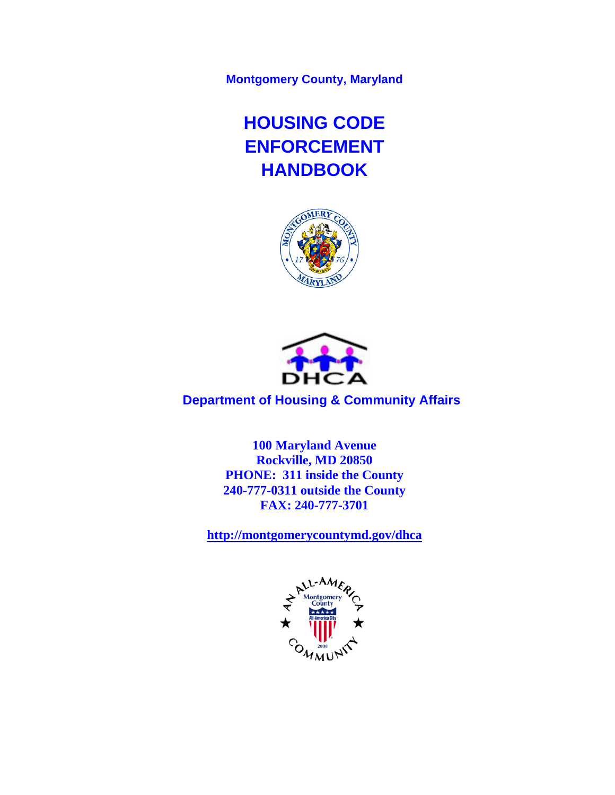**Montgomery County, Maryland** 

# **HOUSING CODE ENFORCEMENT HANDBOOK**





 **Department of Housing & Community Affairs** 

**100 Maryland Avenue Rockville, MD 20850 PHONE: 311 inside the County 240-777-0311 outside the County FAX: 240-777-3701** 

**http://montgomerycountymd.gov/dhca**

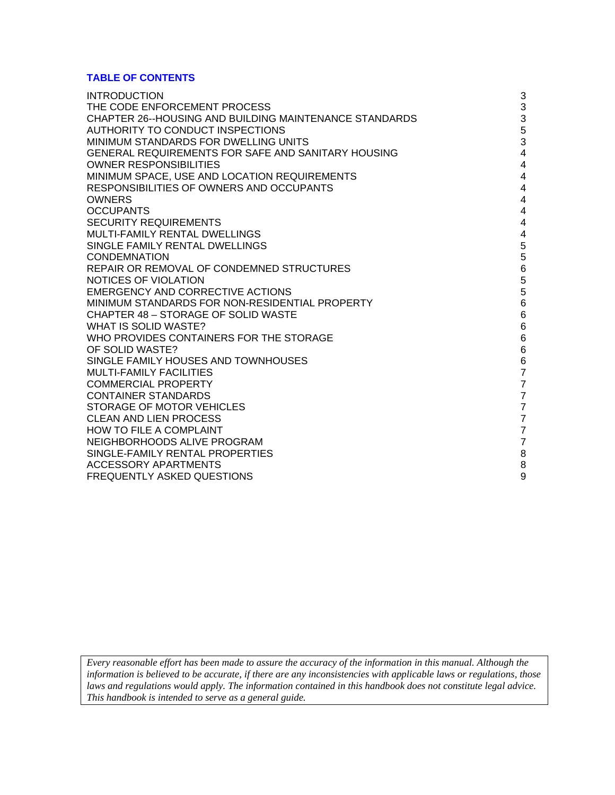#### **TABLE OF CONTENTS**

| <b>INTRODUCTION</b>                                           | 3                                          |
|---------------------------------------------------------------|--------------------------------------------|
| THE CODE ENFORCEMENT PROCESS                                  | 3                                          |
| <b>CHAPTER 26--HOUSING AND BUILDING MAINTENANCE STANDARDS</b> |                                            |
| AUTHORITY TO CONDUCT INSPECTIONS                              | $\begin{array}{c} 3 \\ 5 \\ 3 \end{array}$ |
| MINIMUM STANDARDS FOR DWELLING UNITS                          |                                            |
| <b>GENERAL REQUIREMENTS FOR SAFE AND SANITARY HOUSING</b>     | $\overline{\mathbf{4}}$                    |
| <b>OWNER RESPONSIBILITIES</b>                                 | $\overline{4}$                             |
| MINIMUM SPACE, USE AND LOCATION REQUIREMENTS                  | $\overline{\mathbf{4}}$                    |
| RESPONSIBILITIES OF OWNERS AND OCCUPANTS                      | 4                                          |
| <b>OWNERS</b>                                                 | $\overline{4}$                             |
| <b>OCCUPANTS</b>                                              | $\overline{\mathbf{4}}$                    |
| <b>SECURITY REQUIREMENTS</b>                                  | $\overline{4}$                             |
| MULTI-FAMILY RENTAL DWELLINGS                                 | $\overline{4}$                             |
| SINGLE FAMILY RENTAL DWELLINGS                                | 5                                          |
| <b>CONDEMNATION</b>                                           | 5                                          |
| REPAIR OR REMOVAL OF CONDEMNED STRUCTURES                     | $\,6$                                      |
| NOTICES OF VIOLATION                                          | 5                                          |
| <b>EMERGENCY AND CORRECTIVE ACTIONS</b>                       | 5                                          |
| MINIMUM STANDARDS FOR NON-RESIDENTIAL PROPERTY                | $\overline{6}$                             |
| CHAPTER 48 - STORAGE OF SOLID WASTE                           | $6\phantom{1}$                             |
| WHAT IS SOLID WASTE?                                          | $\,6$                                      |
| WHO PROVIDES CONTAINERS FOR THE STORAGE                       | $6\phantom{1}$                             |
| OF SOLID WASTE?                                               | $\,6$                                      |
| SINGLE FAMILY HOUSES AND TOWNHOUSES                           | $\frac{6}{7}$                              |
| <b>MULTI-FAMILY FACILITIES</b>                                |                                            |
| <b>COMMERCIAL PROPERTY</b>                                    | $\overline{7}$                             |
| <b>CONTAINER STANDARDS</b>                                    | $\overline{7}$                             |
| STORAGE OF MOTOR VEHICLES                                     | $\overline{7}$                             |
| <b>CLEAN AND LIEN PROCESS</b>                                 | $\overline{7}$                             |
| <b>HOW TO FILE A COMPLAINT</b>                                | $\overline{7}$                             |
| NEIGHBORHOODS ALIVE PROGRAM                                   | $\overline{7}$                             |
| SINGLE-FAMILY RENTAL PROPERTIES                               | $\bf8$                                     |
| ACCESSORY APARTMENTS                                          | 8                                          |
| <b>FREQUENTLY ASKED QUESTIONS</b>                             | 9                                          |

*Every reasonable effort has been made to assure the accuracy of the information in this manual. Although the information is believed to be accurate, if there are any inconsistencies with applicable laws or regulations, those laws and regulations would apply. The information contained in this handbook does not constitute legal advice. This handbook is intended to serve as a general guide.*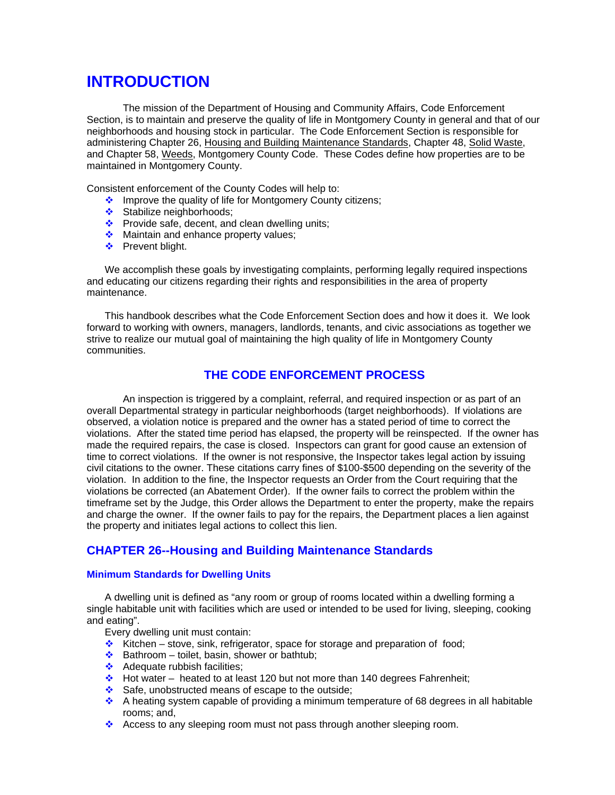## **INTRODUCTION**

The mission of the Department of Housing and Community Affairs, Code Enforcement Section, is to maintain and preserve the quality of life in Montgomery County in general and that of our neighborhoods and housing stock in particular. The Code Enforcement Section is responsible for administering Chapter 26, Housing and Building Maintenance Standards, Chapter 48, Solid Waste, and Chapter 58, Weeds, Montgomery County Code. These Codes define how properties are to be maintained in Montgomery County.

Consistent enforcement of the County Codes will help to:

- \* Improve the quality of life for Montgomery County citizens;
- Stabilize neighborhoods:
- $\cdot$  Provide safe, decent, and clean dwelling units;
- Maintain and enhance property values;
- ❖ Prevent blight.

We accomplish these goals by investigating complaints, performing legally required inspections and educating our citizens regarding their rights and responsibilities in the area of property maintenance.

This handbook describes what the Code Enforcement Section does and how it does it. We look forward to working with owners, managers, landlords, tenants, and civic associations as together we strive to realize our mutual goal of maintaining the high quality of life in Montgomery County communities.

## **THE CODE ENFORCEMENT PROCESS**

An inspection is triggered by a complaint, referral, and required inspection or as part of an overall Departmental strategy in particular neighborhoods (target neighborhoods). If violations are observed, a violation notice is prepared and the owner has a stated period of time to correct the violations. After the stated time period has elapsed, the property will be reinspected. If the owner has made the required repairs, the case is closed. Inspectors can grant for good cause an extension of time to correct violations. If the owner is not responsive, the Inspector takes legal action by issuing civil citations to the owner. These citations carry fines of \$100-\$500 depending on the severity of the violation. In addition to the fine, the Inspector requests an Order from the Court requiring that the violations be corrected (an Abatement Order). If the owner fails to correct the problem within the timeframe set by the Judge, this Order allows the Department to enter the property, make the repairs and charge the owner. If the owner fails to pay for the repairs, the Department places a lien against the property and initiates legal actions to collect this lien.

## **CHAPTER 26--Housing and Building Maintenance Standards**

#### **Minimum Standards for Dwelling Units**

A dwelling unit is defined as "any room or group of rooms located within a dwelling forming a single habitable unit with facilities which are used or intended to be used for living, sleeping, cooking and eating".

Every dwelling unit must contain:

- $\cdot$  Kitchen stove, sink, refrigerator, space for storage and preparation of food;
- $\triangle$  Bathroom toilet, basin, shower or bathtub;
- $\triangleleft$  Adequate rubbish facilities;
- $\div$  Hot water heated to at least 120 but not more than 140 degrees Fahrenheit;
- Safe, unobstructed means of escape to the outside;
- A heating system capable of providing a minimum temperature of 68 degrees in all habitable rooms; and,
- Access to any sleeping room must not pass through another sleeping room.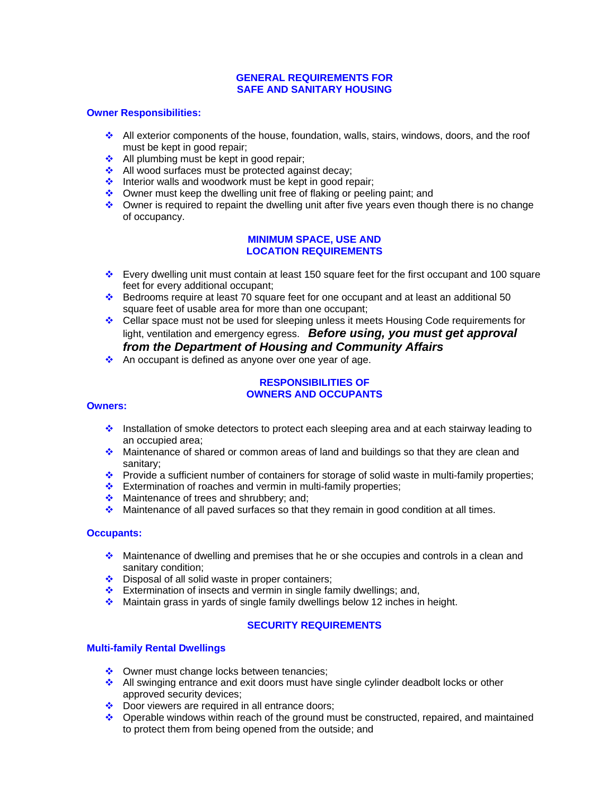#### **GENERAL REQUIREMENTS FOR SAFE AND SANITARY HOUSING**

#### **Owner Responsibilities:**

- $\triangleq$  All exterior components of the house, foundation, walls, stairs, windows, doors, and the roof must be kept in good repair;
- $\triangleq$  All plumbing must be kept in good repair;
- All wood surfaces must be protected against decay;
- $\cdot$  Interior walls and woodwork must be kept in good repair;
- ◆ Owner must keep the dwelling unit free of flaking or peeling paint; and
- $\bullet$  Owner is required to repaint the dwelling unit after five years even though there is no change of occupancy.

#### **MINIMUM SPACE, USE AND LOCATION REQUIREMENTS**

- Every dwelling unit must contain at least 150 square feet for the first occupant and 100 square feet for every additional occupant;
- Bedrooms require at least 70 square feet for one occupant and at least an additional 50 square feet of usable area for more than one occupant;
- Cellar space must not be used for sleeping unless it meets Housing Code requirements for light, ventilation and emergency egress. *Before using, you must get approval from the Department of Housing and Community Affairs*
- An occupant is defined as anyone over one year of age.

#### **RESPONSIBILITIES OF OWNERS AND OCCUPANTS**

#### **Owners:**

- Installation of smoke detectors to protect each sleeping area and at each stairway leading to an occupied area;
- **Maintenance of shared or common areas of land and buildings so that they are clean and** sanitary;
- \* Provide a sufficient number of containers for storage of solid waste in multi-family properties;
- Extermination of roaches and vermin in multi-family properties;
- Maintenance of trees and shrubbery; and;
- Maintenance of all paved surfaces so that they remain in good condition at all times.

#### **Occupants:**

- Maintenance of dwelling and premises that he or she occupies and controls in a clean and sanitary condition;
- $\triangle$  Disposal of all solid waste in proper containers;
- Extermination of insects and vermin in single family dwellings; and,
- **Maintain grass in yards of single family dwellings below 12 inches in height.**

## **SECURITY REQUIREMENTS**

#### **Multi-family Rental Dwellings**

- ◆ Owner must change locks between tenancies;
- ❖ All swinging entrance and exit doors must have single cylinder deadbolt locks or other approved security devices;
- Door viewers are required in all entrance doors;
- $\bullet$  Operable windows within reach of the ground must be constructed, repaired, and maintained to protect them from being opened from the outside; and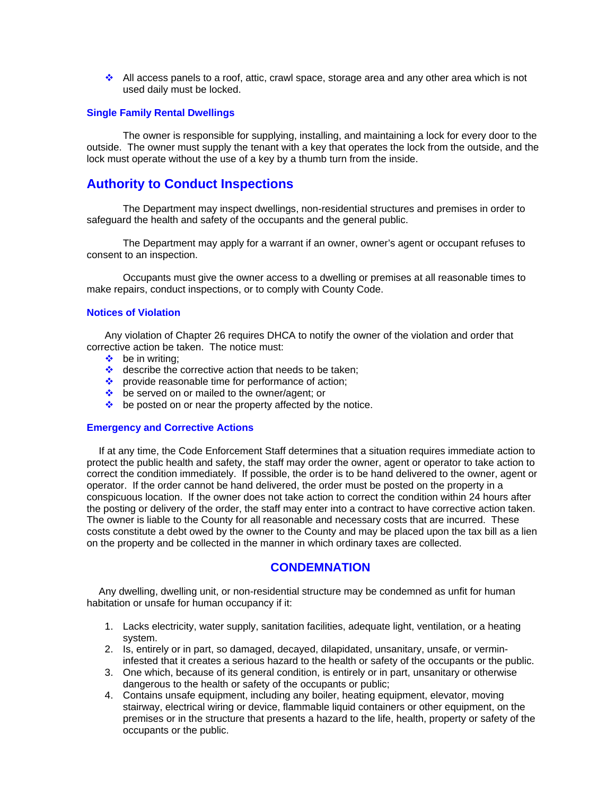$\cdot$  All access panels to a roof, attic, crawl space, storage area and any other area which is not used daily must be locked.

#### **Single Family Rental Dwellings**

The owner is responsible for supplying, installing, and maintaining a lock for every door to the outside. The owner must supply the tenant with a key that operates the lock from the outside, and the lock must operate without the use of a key by a thumb turn from the inside.

## **Authority to Conduct Inspections**

The Department may inspect dwellings, non-residential structures and premises in order to safeguard the health and safety of the occupants and the general public.

The Department may apply for a warrant if an owner, owner's agent or occupant refuses to consent to an inspection.

Occupants must give the owner access to a dwelling or premises at all reasonable times to make repairs, conduct inspections, or to comply with County Code.

#### **Notices of Violation**

Any violation of Chapter 26 requires DHCA to notify the owner of the violation and order that corrective action be taken. The notice must:

- $\triangle$  be in writing:
- $\triangleq$  describe the corrective action that needs to be taken;
- provide reasonable time for performance of action;
- be served on or mailed to the owner/agent; or
- $\triangleq$  be posted on or near the property affected by the notice.

#### **Emergency and Corrective Actions**

If at any time, the Code Enforcement Staff determines that a situation requires immediate action to protect the public health and safety, the staff may order the owner, agent or operator to take action to correct the condition immediately. If possible, the order is to be hand delivered to the owner, agent or operator. If the order cannot be hand delivered, the order must be posted on the property in a conspicuous location. If the owner does not take action to correct the condition within 24 hours after the posting or delivery of the order, the staff may enter into a contract to have corrective action taken. The owner is liable to the County for all reasonable and necessary costs that are incurred. These costs constitute a debt owed by the owner to the County and may be placed upon the tax bill as a lien on the property and be collected in the manner in which ordinary taxes are collected.

## **CONDEMNATION**

Any dwelling, dwelling unit, or non-residential structure may be condemned as unfit for human habitation or unsafe for human occupancy if it:

- 1. Lacks electricity, water supply, sanitation facilities, adequate light, ventilation, or a heating system.
- 2. Is, entirely or in part, so damaged, decayed, dilapidated, unsanitary, unsafe, or vermininfested that it creates a serious hazard to the health or safety of the occupants or the public.
- 3. One which, because of its general condition, is entirely or in part, unsanitary or otherwise dangerous to the health or safety of the occupants or public;
- 4. Contains unsafe equipment, including any boiler, heating equipment, elevator, moving stairway, electrical wiring or device, flammable liquid containers or other equipment, on the premises or in the structure that presents a hazard to the life, health, property or safety of the occupants or the public.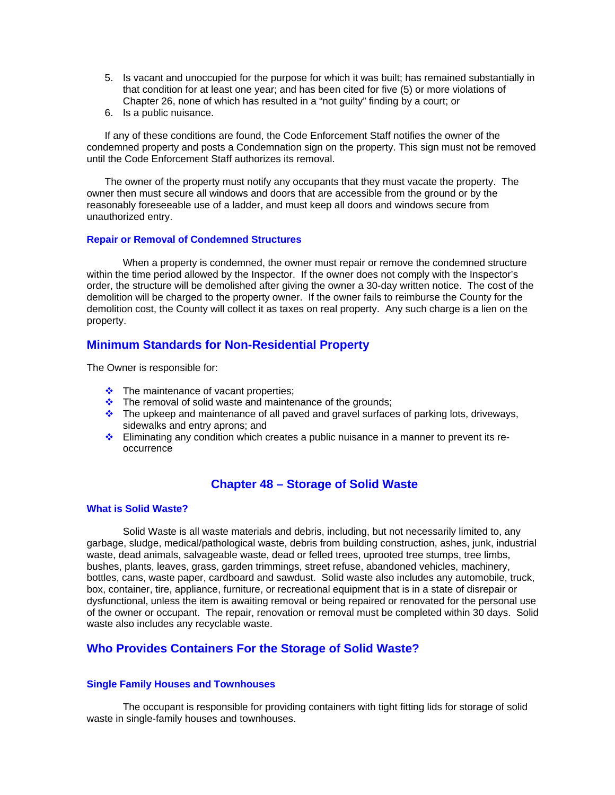- 5. Is vacant and unoccupied for the purpose for which it was built; has remained substantially in that condition for at least one year; and has been cited for five (5) or more violations of Chapter 26, none of which has resulted in a "not guilty" finding by a court; or
- 6. Is a public nuisance.

If any of these conditions are found, the Code Enforcement Staff notifies the owner of the condemned property and posts a Condemnation sign on the property. This sign must not be removed until the Code Enforcement Staff authorizes its removal.

The owner of the property must notify any occupants that they must vacate the property. The owner then must secure all windows and doors that are accessible from the ground or by the reasonably foreseeable use of a ladder, and must keep all doors and windows secure from unauthorized entry.

#### **Repair or Removal of Condemned Structures**

When a property is condemned, the owner must repair or remove the condemned structure within the time period allowed by the Inspector. If the owner does not comply with the Inspector's order, the structure will be demolished after giving the owner a 30-day written notice. The cost of the demolition will be charged to the property owner. If the owner fails to reimburse the County for the demolition cost, the County will collect it as taxes on real property. Any such charge is a lien on the property.

## **Minimum Standards for Non-Residential Property**

The Owner is responsible for:

- $\div$  The maintenance of vacant properties;
- $\cdot$  The removal of solid waste and maintenance of the grounds;
- $\cdot \cdot$  The upkeep and maintenance of all paved and gravel surfaces of parking lots, driveways, sidewalks and entry aprons; and
- $\cdot$  Eliminating any condition which creates a public nuisance in a manner to prevent its reoccurrence

## **Chapter 48 – Storage of Solid Waste**

#### **What is Solid Waste?**

Solid Waste is all waste materials and debris, including, but not necessarily limited to, any garbage, sludge, medical/pathological waste, debris from building construction, ashes, junk, industrial waste, dead animals, salvageable waste, dead or felled trees, uprooted tree stumps, tree limbs, bushes, plants, leaves, grass, garden trimmings, street refuse, abandoned vehicles, machinery, bottles, cans, waste paper, cardboard and sawdust. Solid waste also includes any automobile, truck, box, container, tire, appliance, furniture, or recreational equipment that is in a state of disrepair or dysfunctional, unless the item is awaiting removal or being repaired or renovated for the personal use of the owner or occupant. The repair, renovation or removal must be completed within 30 days. Solid waste also includes any recyclable waste.

## **Who Provides Containers For the Storage of Solid Waste?**

#### **Single Family Houses and Townhouses**

The occupant is responsible for providing containers with tight fitting lids for storage of solid waste in single-family houses and townhouses.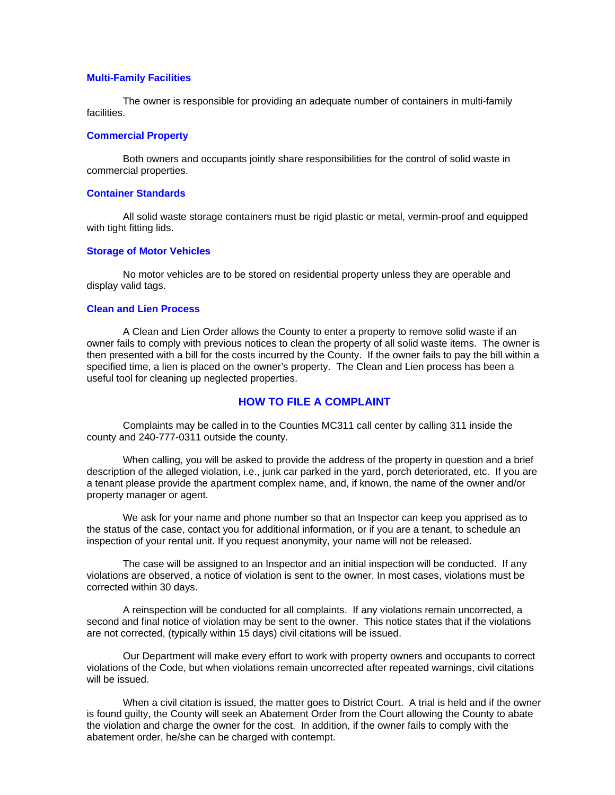#### **Multi-Family Facilities**

The owner is responsible for providing an adequate number of containers in multi-family facilities.

#### **Commercial Property**

Both owners and occupants jointly share responsibilities for the control of solid waste in commercial properties.

#### **Container Standards**

All solid waste storage containers must be rigid plastic or metal, vermin-proof and equipped with tight fitting lids.

#### **Storage of Motor Vehicles**

No motor vehicles are to be stored on residential property unless they are operable and display valid tags.

#### **Clean and Lien Process**

A Clean and Lien Order allows the County to enter a property to remove solid waste if an owner fails to comply with previous notices to clean the property of all solid waste items. The owner is then presented with a bill for the costs incurred by the County. If the owner fails to pay the bill within a specified time, a lien is placed on the owner's property. The Clean and Lien process has been a useful tool for cleaning up neglected properties.

#### **HOW TO FILE A COMPLAINT**

Complaints may be called in to the Counties MC311 call center by calling 311 inside the county and 240-777-0311 outside the county.

When calling, you will be asked to provide the address of the property in question and a brief description of the alleged violation, i.e., junk car parked in the yard, porch deteriorated, etc. If you are a tenant please provide the apartment complex name, and, if known, the name of the owner and/or property manager or agent.

We ask for your name and phone number so that an Inspector can keep you apprised as to the status of the case, contact you for additional information, or if you are a tenant, to schedule an inspection of your rental unit. If you request anonymity, your name will not be released.

The case will be assigned to an Inspector and an initial inspection will be conducted. If any violations are observed, a notice of violation is sent to the owner. In most cases, violations must be corrected within 30 days.

A reinspection will be conducted for all complaints. If any violations remain uncorrected, a second and final notice of violation may be sent to the owner. This notice states that if the violations are not corrected, (typically within 15 days) civil citations will be issued.

Our Department will make every effort to work with property owners and occupants to correct violations of the Code, but when violations remain uncorrected after repeated warnings, civil citations will be issued.

When a civil citation is issued, the matter goes to District Court. A trial is held and if the owner is found guilty, the County will seek an Abatement Order from the Court allowing the County to abate the violation and charge the owner for the cost. In addition, if the owner fails to comply with the abatement order, he/she can be charged with contempt.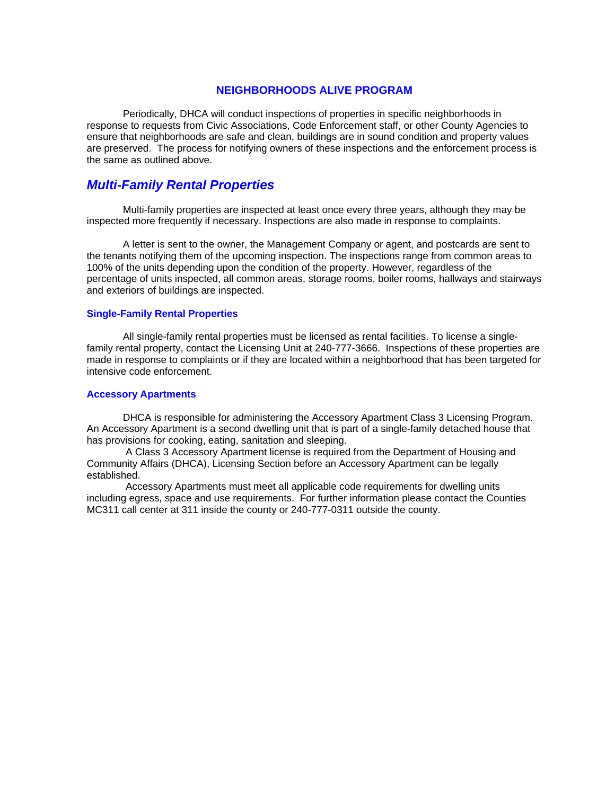#### **NEIGHBORHOODS ALIVE PROGRAM**

Periodically, DHCA will conduct inspections of properties in specific neighborhoods in response to requests from Civic Associations, Code Enforcement staff, or other County Agencies to ensure that neighborhoods are safe and clean, buildings are in sound condition and property values are preserved. The process for notifying owners of these inspections and the enforcement process is the same as outlined above.

## *Multi-Family Rental Properties*

Multi-family properties are inspected at least once every three years, although they may be inspected more frequently if necessary. Inspections are also made in response to complaints.

A letter is sent to the owner, the Management Company or agent, and postcards are sent to the tenants notifying them of the upcoming inspection. The inspections range from common areas to 100% of the units depending upon the condition of the property. However, regardless of the percentage of units inspected, all common areas, storage rooms, boiler rooms, hallways and stairways and exteriors of buildings are inspected.

#### **Single-Family Rental Properties**

All single-family rental properties must be licensed as rental facilities. To license a singlefamily rental property, contact the Licensing Unit at 240-777-3666. Inspections of these properties are made in response to complaints or if they are located within a neighborhood that has been targeted for intensive code enforcement.

#### **Accessory Apartments**

DHCA is responsible for administering the Accessory Apartment Class 3 Licensing Program. An Accessory Apartment is a second dwelling unit that is part of a single-family detached house that has provisions for cooking, eating, sanitation and sleeping.

 A Class 3 Accessory Apartment license is required from the Department of Housing and Community Affairs (DHCA), Licensing Section before an Accessory Apartment can be legally established.

 Accessory Apartments must meet all applicable code requirements for dwelling units including egress, space and use requirements. For further information please contact the Counties MC311 call center at 311 inside the county or 240-777-0311 outside the county.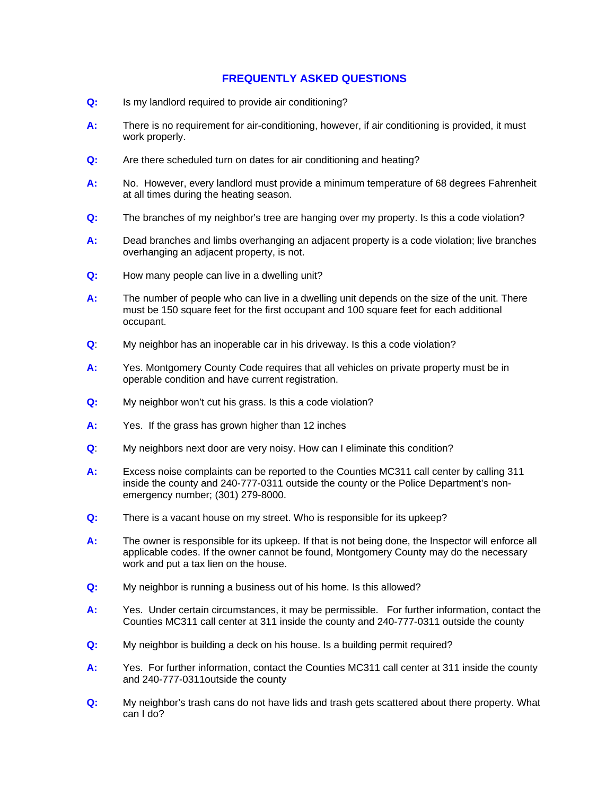## **FREQUENTLY ASKED QUESTIONS**

- **Q:** Is my landlord required to provide air conditioning?
- **A:** There is no requirement for air-conditioning, however, if air conditioning is provided, it must work properly.
- **Q:** Are there scheduled turn on dates for air conditioning and heating?
- **A:** No. However, every landlord must provide a minimum temperature of 68 degrees Fahrenheit at all times during the heating season.
- **Q:** The branches of my neighbor's tree are hanging over my property. Is this a code violation?
- **A:** Dead branches and limbs overhanging an adjacent property is a code violation; live branches overhanging an adjacent property, is not.
- **Q:** How many people can live in a dwelling unit?
- **A:** The number of people who can live in a dwelling unit depends on the size of the unit. There must be 150 square feet for the first occupant and 100 square feet for each additional occupant.
- **Q**: My neighbor has an inoperable car in his driveway. Is this a code violation?
- **A:** Yes. Montgomery County Code requires that all vehicles on private property must be in operable condition and have current registration.
- **Q:** My neighbor won't cut his grass. Is this a code violation?
- **A:** Yes. If the grass has grown higher than 12 inches
- **Q**: My neighbors next door are very noisy. How can I eliminate this condition?
- **A:** Excess noise complaints can be reported to the Counties MC311 call center by calling 311 inside the county and 240-777-0311 outside the county or the Police Department's nonemergency number; (301) 279-8000.
- **Q:** There is a vacant house on my street. Who is responsible for its upkeep?
- **A:** The owner is responsible for its upkeep. If that is not being done, the Inspector will enforce all applicable codes. If the owner cannot be found, Montgomery County may do the necessary work and put a tax lien on the house.
- **Q:** My neighbor is running a business out of his home. Is this allowed?
- **A:** Yes. Under certain circumstances, it may be permissible. For further information, contact the Counties MC311 call center at 311 inside the county and 240-777-0311 outside the county
- **Q:** My neighbor is building a deck on his house. Is a building permit required?
- **A:** Yes. For further information, contact the Counties MC311 call center at 311 inside the county and 240-777-0311outside the county
- **Q:** My neighbor's trash cans do not have lids and trash gets scattered about there property. What can I do?